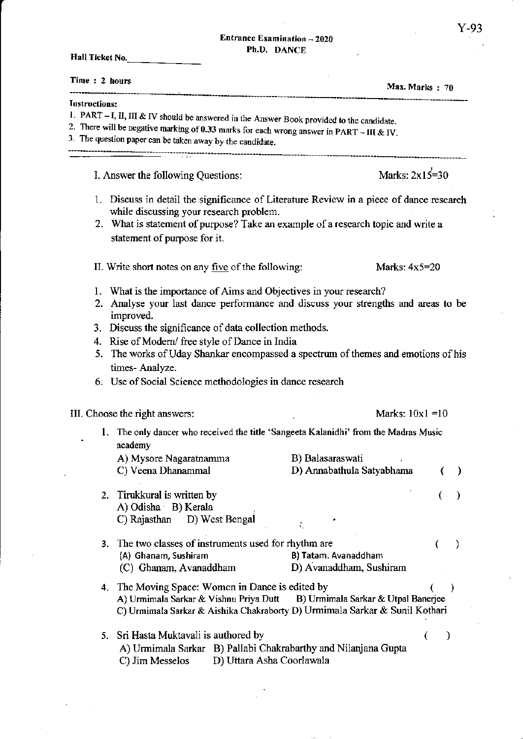$\overline{a}$ 

Hall Ticket No.

| Time: 2 hours                                                                                                                                                                                                                                                                                                                                                          | Max. Marks: 70                                                                                                          |
|------------------------------------------------------------------------------------------------------------------------------------------------------------------------------------------------------------------------------------------------------------------------------------------------------------------------------------------------------------------------|-------------------------------------------------------------------------------------------------------------------------|
| Instructions:<br>1. PART $-$ I, II, III & IV should be answered in the Answer Book provided to the candidate.<br>2. There will be negative marking of 0.33 marks for each wrong answer in PART - III & IV.<br>3. The question paper can be taken away by the candidate.                                                                                                |                                                                                                                         |
| I. Answer the following Questions:                                                                                                                                                                                                                                                                                                                                     | Marks: $2x15=30$                                                                                                        |
| 1. Discuss in detail the significance of Literature Review in a piece of dance research<br>while discussing your research problem.<br>2. What is statement of purpose? Take an example of a research topic and write a<br>statement of purpose for it.                                                                                                                 |                                                                                                                         |
| II. Write short notes on any five of the following:                                                                                                                                                                                                                                                                                                                    | Marks: $4x5=20$                                                                                                         |
| 1. What is the importance of Aims and Objectives in your research?<br>2. Analyse your last dance performance and discuss your strengths and areas to be<br>improved.<br>3. Discuss the significance of data collection methods.<br>4. Rise of Modern/ free style of Dance in India<br>5.<br>times-Analyze.<br>6. Use of Social Science methodologies in dance research | The works of Uday Shankar encompassed a spectrum of themes and emotions of his                                          |
| III. Choose the right answers:                                                                                                                                                                                                                                                                                                                                         | Marks: $10x1 = 10$                                                                                                      |
| 1. The only dancer who received the title 'Sangeeta Kalanidhi' from the Madras Music<br>academy<br>A) Mysore Nagaratnamma<br>C) Veena Dhanammal                                                                                                                                                                                                                        | B) Balasaraswati<br>D) Annabathula Satyabhama                                                                           |
| Tirukkural is written by<br>2.<br>A) Odisha B) Kerala<br>C) Rajasthan<br>D) West Bengal                                                                                                                                                                                                                                                                                |                                                                                                                         |
| The two classes of instruments used for rhythm are<br>3.<br>(A) Ghanam, Sushiram<br>(C) Ghanam, Avanaddham                                                                                                                                                                                                                                                             | €<br>J.<br>B) Tatam. Avanaddham<br>D) Avanaddham, Sushiram                                                              |
| 4. The Moving Space: Women in Dance is edited by<br>A) Urmimala Sarkar & Vishnu Priya Dutt                                                                                                                                                                                                                                                                             | )<br>B) Urmimala Sarkar & Utpal Banerjee<br>C) Urmimala Sarkar & Aishika Chakraborty D) Urmimala Sarkar & Sunil Kothari |
| Sri Hasta Muktavali is authored by<br>5.<br>A) Urmimala Sarkar B) Pallabi Chakrabarthy and Nilanjana Gupta<br>D) Uttara Asha Coorlawala<br>C) Jim Messelos                                                                                                                                                                                                             |                                                                                                                         |

 $\bar{z}$